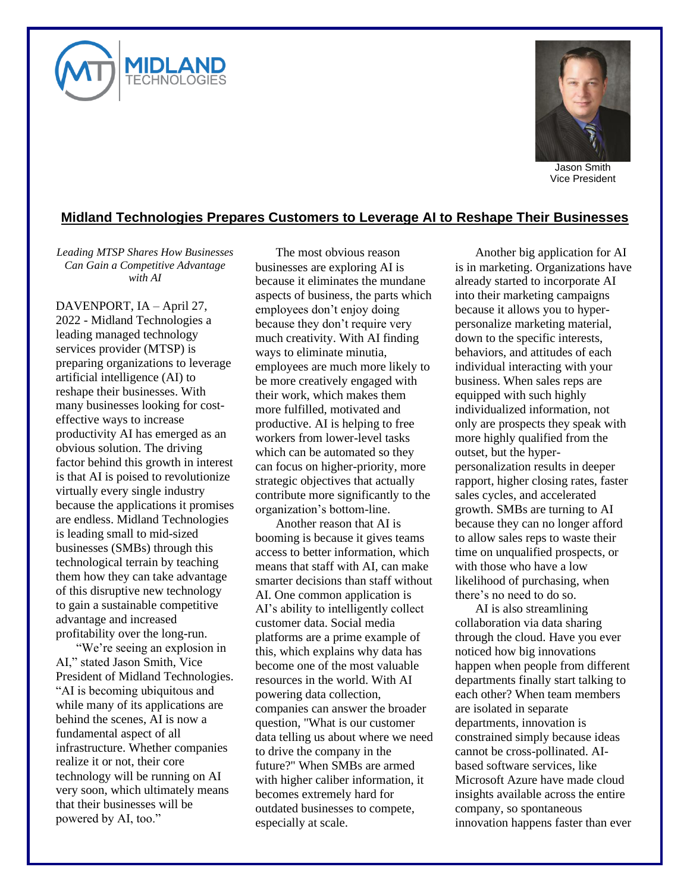



Jason Smith Vice President

## **Midland Technologies Prepares Customers to Leverage AI to Reshape Their Businesses**

*Leading MTSP Shares How Businesses Can Gain a Competitive Advantage with AI*

DAVENPORT, IA – April 27, 2022 - Midland Technologies a leading managed technology services provider (MTSP) is preparing organizations to leverage artificial intelligence (AI) to reshape their businesses. With many businesses looking for costeffective ways to increase productivity AI has emerged as an obvious solution. The driving factor behind this growth in interest is that AI is poised to revolutionize virtually every single industry because the applications it promises are endless. Midland Technologies is leading small to mid-sized businesses (SMBs) through this technological terrain by teaching them how they can take advantage of this disruptive new technology to gain a sustainable competitive advantage and increased profitability over the long-run.

"We're seeing an explosion in AI," stated Jason Smith, Vice President of Midland Technologies. "AI is becoming ubiquitous and while many of its applications are behind the scenes, AI is now a fundamental aspect of all infrastructure. Whether companies realize it or not, their core technology will be running on AI very soon, which ultimately means that their businesses will be powered by AI, too."

The most obvious reason businesses are exploring AI is because it eliminates the mundane aspects of business, the parts which employees don't enjoy doing because they don't require very much creativity. With AI finding ways to eliminate minutia, employees are much more likely to be more creatively engaged with their work, which makes them more fulfilled, motivated and productive. AI is helping to free workers from lower-level tasks which can be automated so they can focus on higher-priority, more strategic objectives that actually contribute more significantly to the organization's bottom-line.

Another reason that AI is booming is because it gives teams access to better information, which means that staff with AI, can make smarter decisions than staff without AI. One common application is AI's ability to intelligently collect customer data. Social media platforms are a prime example of this, which explains why data has become one of the most valuable resources in the world. With AI powering data collection, companies can answer the broader question, "What is our customer data telling us about where we need to drive the company in the future?" When SMBs are armed with higher caliber information, it becomes extremely hard for outdated businesses to compete, especially at scale.

Another big application for AI is in marketing. Organizations have already started to incorporate AI into their marketing campaigns because it allows you to hyperpersonalize marketing material, down to the specific interests, behaviors, and attitudes of each individual interacting with your business. When sales reps are equipped with such highly individualized information, not only are prospects they speak with more highly qualified from the outset, but the hyperpersonalization results in deeper rapport, higher closing rates, faster sales cycles, and accelerated growth. SMBs are turning to AI because they can no longer afford to allow sales reps to waste their time on unqualified prospects, or with those who have a low likelihood of purchasing, when there's no need to do so.

AI is also streamlining collaboration via data sharing through the cloud. Have you ever noticed how big innovations happen when people from different departments finally start talking to each other? When team members are isolated in separate departments, innovation is constrained simply because ideas cannot be cross-pollinated. AIbased software services, like Microsoft Azure have made cloud insights available across the entire company, so spontaneous innovation happens faster than ever